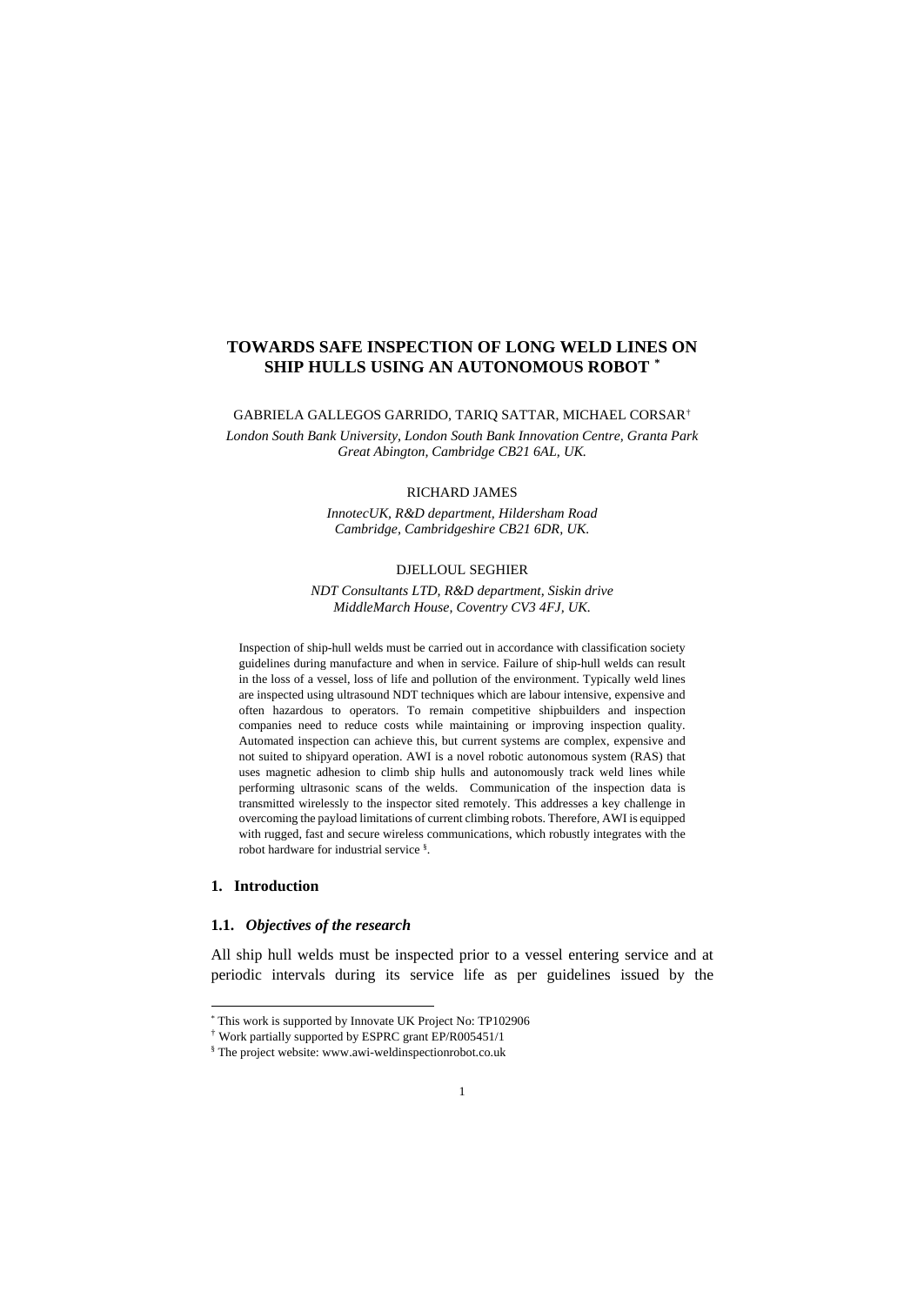# **TOWARDS SAFE INSPECTION OF LONG WELD LINES ON SHIP HULLS USING AN AUTONOMOUS ROBOT [\\*](#page-0-0)**

GABRIELA GALLEGOS GARRIDO, TARIQ SATTAR, MICHAEL CORSAR[†](#page-0-1) *London South Bank University, London South Bank Innovation Centre, Granta Park Great Abington, Cambridge CB21 6AL, UK.*

#### RICHARD JAMES

*InnotecUK, R&D department, Hildersham Road Cambridge, Cambridgeshire CB21 6DR, UK.*

# DJELLOUL SEGHIER

*NDT Consultants LTD, R&D department, Siskin drive MiddleMarch House, Coventry CV3 4FJ, UK.*

Inspection of ship-hull welds must be carried out in accordance with classification society guidelines during manufacture and when in service. Failure of ship-hull welds can result in the loss of a vessel, loss of life and pollution of the environment. Typically weld lines are inspected using ultrasound NDT techniques which are labour intensive, expensive and often hazardous to operators. To remain competitive shipbuilders and inspection companies need to reduce costs while maintaining or improving inspection quality. Automated inspection can achieve this, but current systems are complex, expensive and not suited to shipyard operation. AWI is a novel robotic autonomous system (RAS) that uses magnetic adhesion to climb ship hulls and autonomously track weld lines while performing ultrasonic scans of the welds. Communication of the inspection data is transmitted wirelessly to the inspector sited remotely. This addresses a key challenge in overcoming the payload limitations of current climbing robots. Therefore, AWI is equipped with rugged, fast and secure wireless communications, which robustly integrates with the robot hardware for industrial service § .

### **1. Introduction**

# **1.1.** *Objectives of the research*

All ship hull welds must be inspected prior to a vessel entering service and at periodic intervals during its service life as per guidelines issued by the

<span id="page-0-0"></span> <sup>\*</sup> This work is supported by Innovate UK Project No: TP102906

<sup>†</sup> Work partially supported by ESPRC grant EP/R005451/1

<span id="page-0-1"></span><sup>§</sup> The project website: www.awi-weldinspectionrobot.co.uk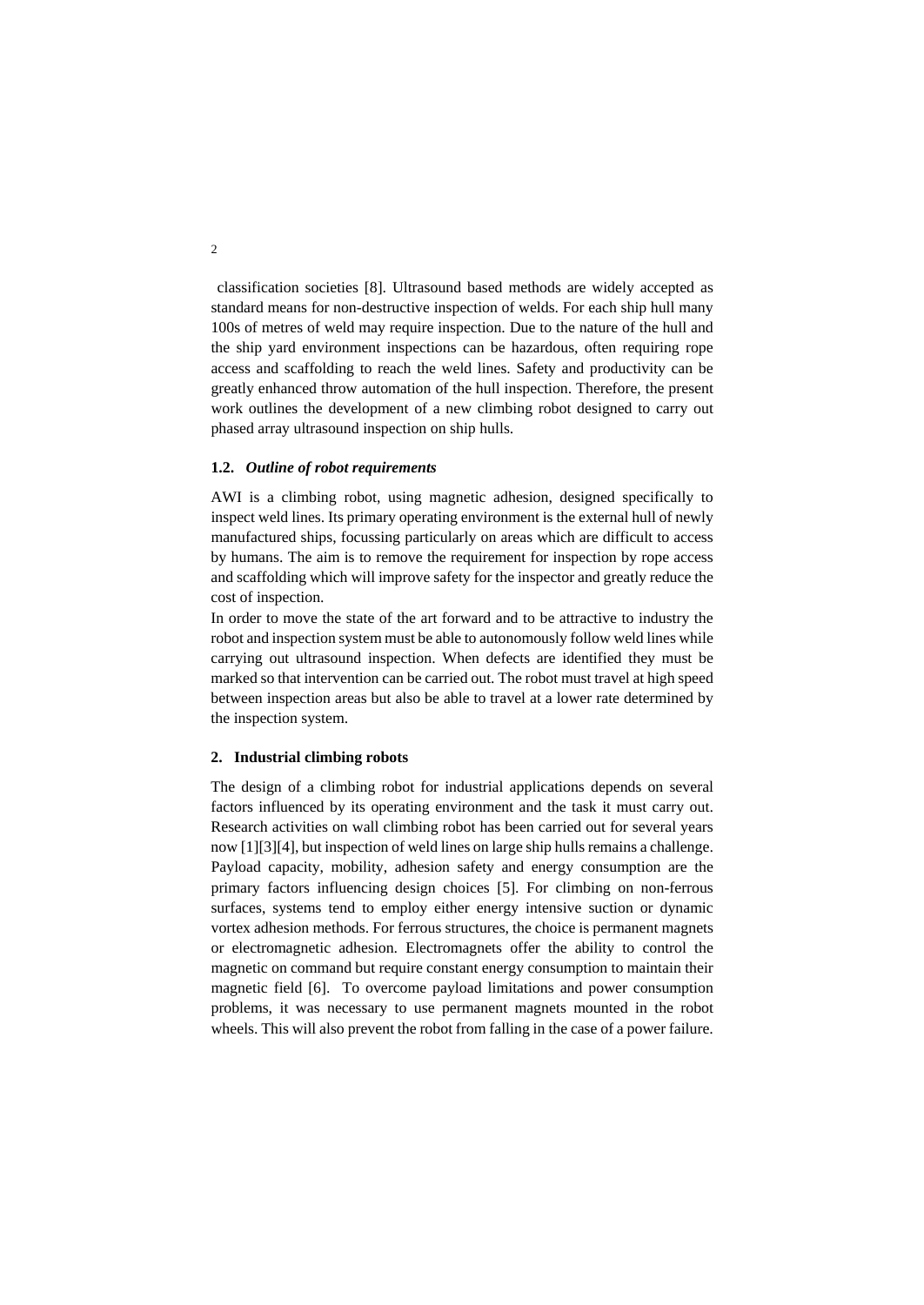classification societies [8]. Ultrasound based methods are widely accepted as standard means for non-destructive inspection of welds. For each ship hull many 100s of metres of weld may require inspection. Due to the nature of the hull and the ship yard environment inspections can be hazardous, often requiring rope access and scaffolding to reach the weld lines. Safety and productivity can be greatly enhanced throw automation of the hull inspection. Therefore, the present work outlines the development of a new climbing robot designed to carry out phased array ultrasound inspection on ship hulls.

#### **1.2.** *Outline of robot requirements*

AWI is a climbing robot, using magnetic adhesion, designed specifically to inspect weld lines. Its primary operating environment is the external hull of newly manufactured ships, focussing particularly on areas which are difficult to access by humans. The aim is to remove the requirement for inspection by rope access and scaffolding which will improve safety for the inspector and greatly reduce the cost of inspection.

In order to move the state of the art forward and to be attractive to industry the robot and inspection system must be able to autonomously follow weld lines while carrying out ultrasound inspection. When defects are identified they must be marked so that intervention can be carried out. The robot must travel at high speed between inspection areas but also be able to travel at a lower rate determined by the inspection system.

# **2. Industrial climbing robots**

The design of a climbing robot for industrial applications depends on several factors influenced by its operating environment and the task it must carry out. Research activities on wall climbing robot has been carried out for several years now [1][3][4], but inspection of weld lines on large ship hulls remains a challenge. Payload capacity, mobility, adhesion safety and energy consumption are the primary factors influencing design choices [5]. For climbing on non-ferrous surfaces, systems tend to employ either energy intensive suction or dynamic vortex adhesion methods. For ferrous structures, the choice is permanent magnets or electromagnetic adhesion. Electromagnets offer the ability to control the magnetic on command but require constant energy consumption to maintain their magnetic field [6]. To overcome payload limitations and power consumption problems, it was necessary to use permanent magnets mounted in the robot wheels. This will also prevent the robot from falling in the case of a power failure.

 $\overline{2}$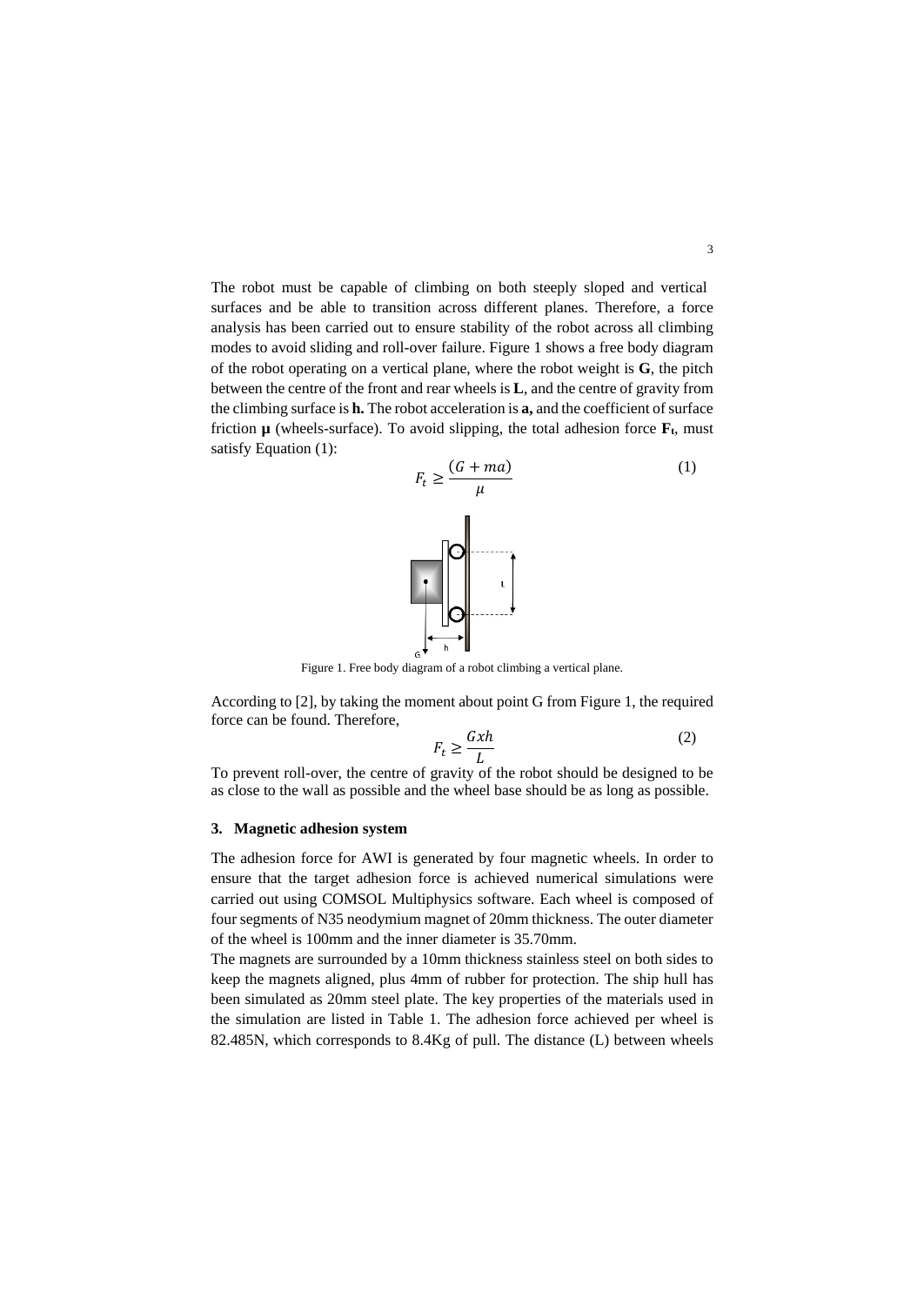The robot must be capable of climbing on both steeply sloped and vertical surfaces and be able to transition across different planes. Therefore, a force analysis has been carried out to ensure stability of the robot across all climbing modes to avoid sliding and roll-over failure. Figure 1 shows a free body diagram of the robot operating on a vertical plane, where the robot weight is **G**, the pitch between the centre of the front and rear wheels is **L**, and the centre of gravity from the climbing surface is **h.** The robot acceleration is **a,** and the coefficient of surface friction  $\mu$  (wheels-surface). To avoid slipping, the total adhesion force  $\mathbf{F}_t$ , must satisfy Equation [\(1\)](#page-2-0):

<span id="page-2-0"></span>

Figure 1. Free body diagram of a robot climbing a vertical plane.

According to [2], by taking the moment about point G from Figure 1, the required force can be found. Therefore,

$$
F_t \ge \frac{Gxh}{L} \tag{2}
$$

To prevent roll-over, the centre of gravity of the robot should be designed to be as close to the wall as possible and the wheel base should be as long as possible.

#### **3. Magnetic adhesion system**

The adhesion force for AWI is generated by four magnetic wheels. In order to ensure that the target adhesion force is achieved numerical simulations were carried out using COMSOL Multiphysics software. Each wheel is composed of four segments of N35 neodymium magnet of 20mm thickness. The outer diameter of the wheel is 100mm and the inner diameter is 35.70mm.

The magnets are surrounded by a 10mm thickness stainless steel on both sides to keep the magnets aligned, plus 4mm of rubber for protection. The ship hull has been simulated as 20mm steel plate. The key properties of the materials used in the simulation are listed in Table 1. The adhesion force achieved per wheel is 82.485N, which corresponds to 8.4Kg of pull. The distance (L) between wheels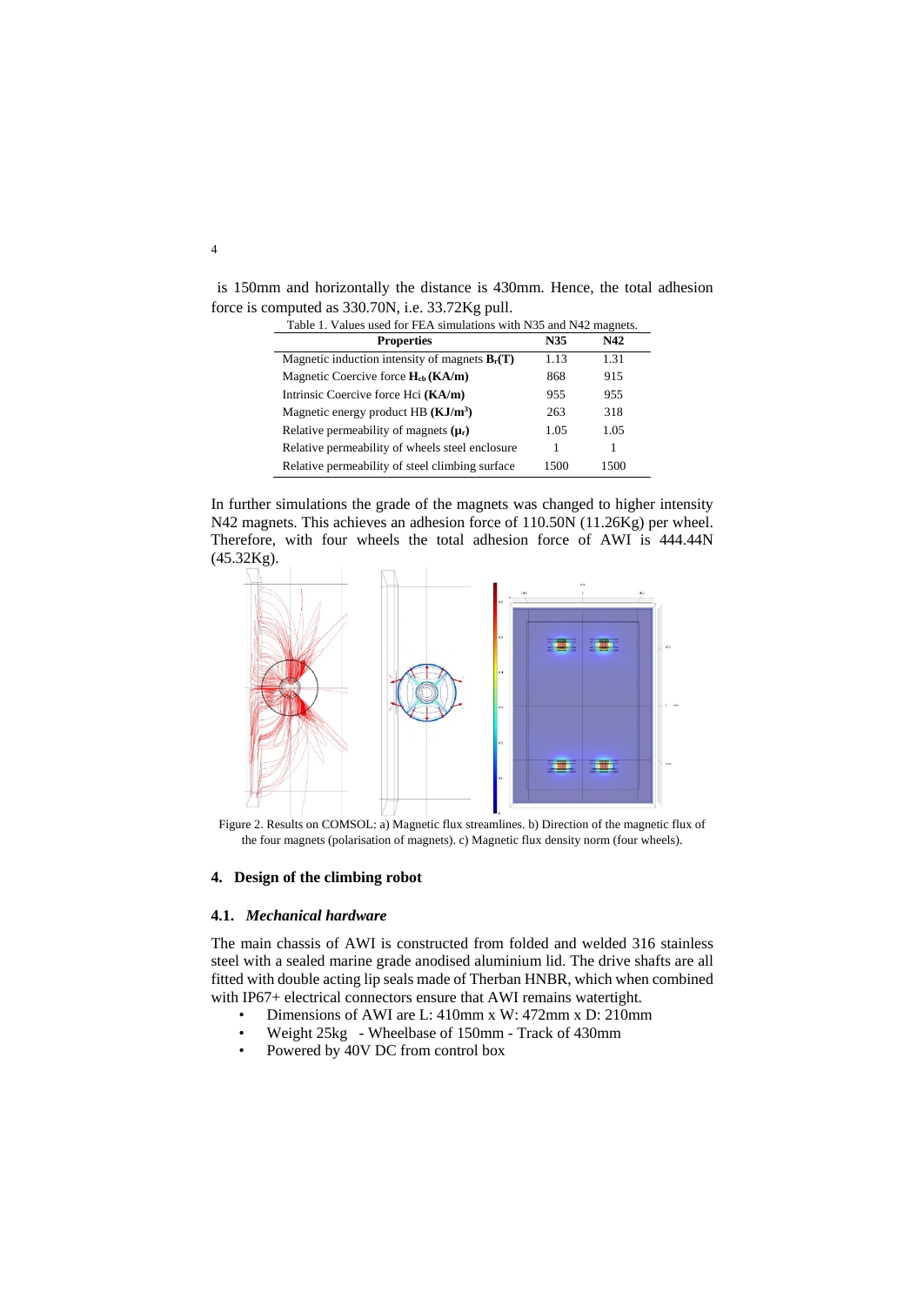is 150mm and horizontally the distance is 430mm. Hence, the total adhesion force is computed as 330.70N, i.e. 33.72Kg pull.

| Table 1. Values used for FEA simulations with N35 and N42 magnets. |      |      |
|--------------------------------------------------------------------|------|------|
| <b>Properties</b>                                                  | N35  | N42  |
| Magnetic induction intensity of magnets $B_r(T)$                   | 1.13 | 1.31 |
| Magnetic Coercive force $H_{cb}$ (KA/m)                            | 868  | 915  |
| Intrinsic Coercive force Hci (KA/m)                                | 955  | 955  |
| Magnetic energy product HB $(KJ/m3)$                               | 263  | 318  |
| Relative permeability of magnets $(\mu_r)$                         | 1.05 | 1.05 |
| Relative permeability of wheels steel enclosure                    | 1    |      |
| Relative permeability of steel climbing surface                    | 1500 | 1500 |

In further simulations the grade of the magnets was changed to higher intensity N42 magnets. This achieves an adhesion force of 110.50N (11.26Kg) per wheel. Therefore, with four wheels the total adhesion force of AWI is 444.44N (45.32Kg).



 Figure 2. Results on COMSOL: a) Magnetic flux streamlines. b) Direction of the magnetic flux of the four magnets (polarisation of magnets). c) Magnetic flux density norm (four wheels).

# **4. Design of the climbing robot**

#### **4.1.** *Mechanical hardware*

The main chassis of AWI is constructed from folded and welded 316 stainless steel with a sealed marine grade anodised aluminium lid. The drive shafts are all fitted with double acting lip seals made of Therban HNBR, which when combined with IP67+ electrical connectors ensure that AWI remains watertight.

- Dimensions of AWI are L: 410mm x W: 472mm x D: 210mm
- Weight 25kg Wheelbase of 150mm Track of 430mm
- Powered by 40V DC from control box

4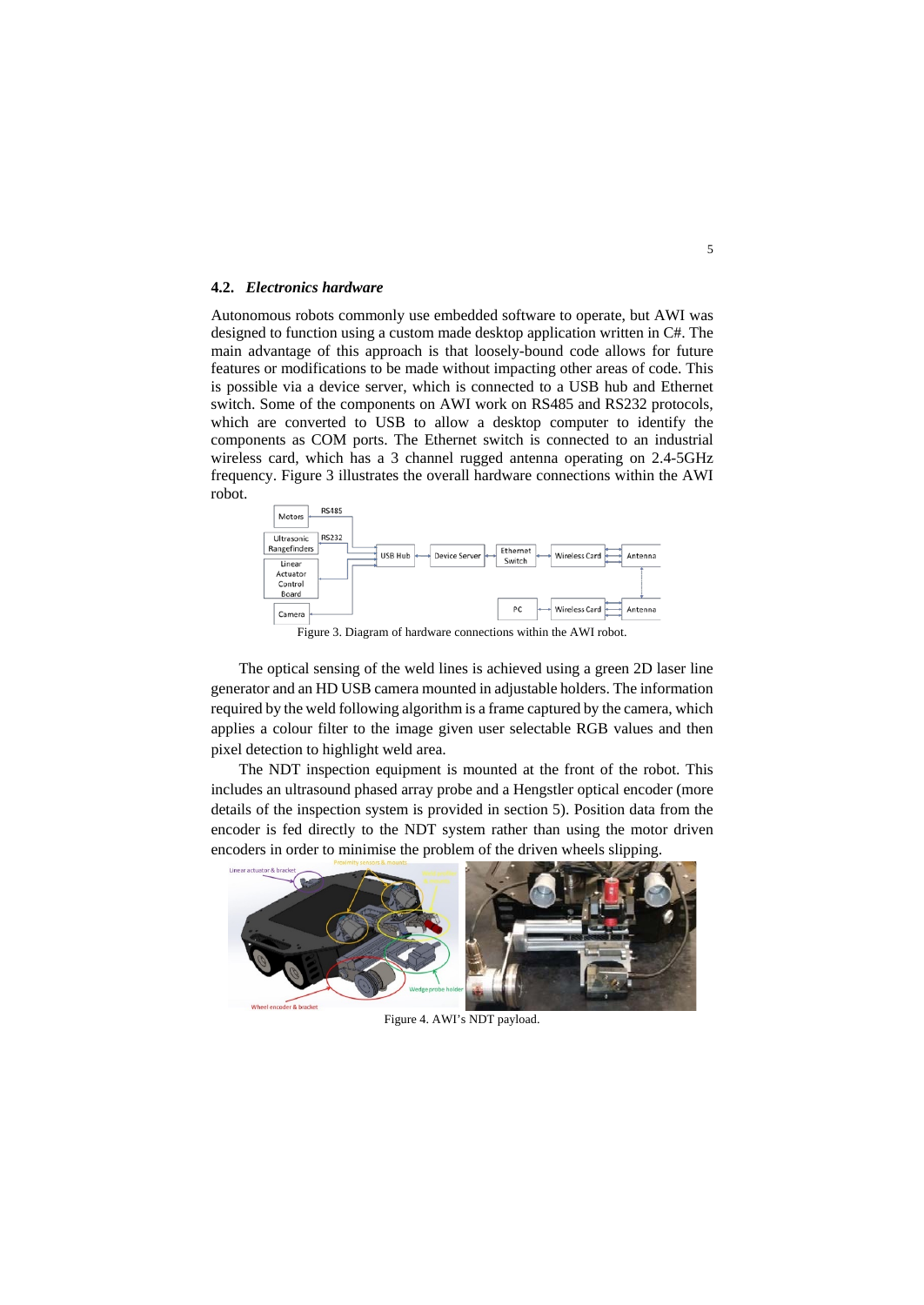### **4.2.** *Electronics hardware*

Autonomous robots commonly use embedded software to operate, but AWI was designed to function using a custom made desktop application written in C#. The main advantage of this approach is that loosely-bound code allows for future features or modifications to be made without impacting other areas of code. This is possible via a device server, which is connected to a USB hub and Ethernet switch. Some of the components on AWI work on RS485 and RS232 protocols, which are converted to USB to allow a desktop computer to identify the components as COM ports. The Ethernet switch is connected to an industrial wireless card, which has a 3 channel rugged antenna operating on 2.4-5GHz frequency. Figure 3 illustrates the overall hardware connections within the AWI robot.



Figure 3. Diagram of hardware connections within the AWI robot.

The optical sensing of the weld lines is achieved using a green 2D laser line generator and an HD USB camera mounted in adjustable holders. The information required by the weld following algorithm is a frame captured by the camera, which applies a colour filter to the image given user selectable RGB values and then pixel detection to highlight weld area.

The NDT inspection equipment is mounted at the front of the robot. This includes an ultrasound phased array probe and a Hengstler optical encoder (more details of the inspection system is provided in section 5). Position data from the encoder is fed directly to the NDT system rather than using the motor driven encoders in order to minimise the problem of the driven wheels slipping.



Figure 4. AWI's NDT payload.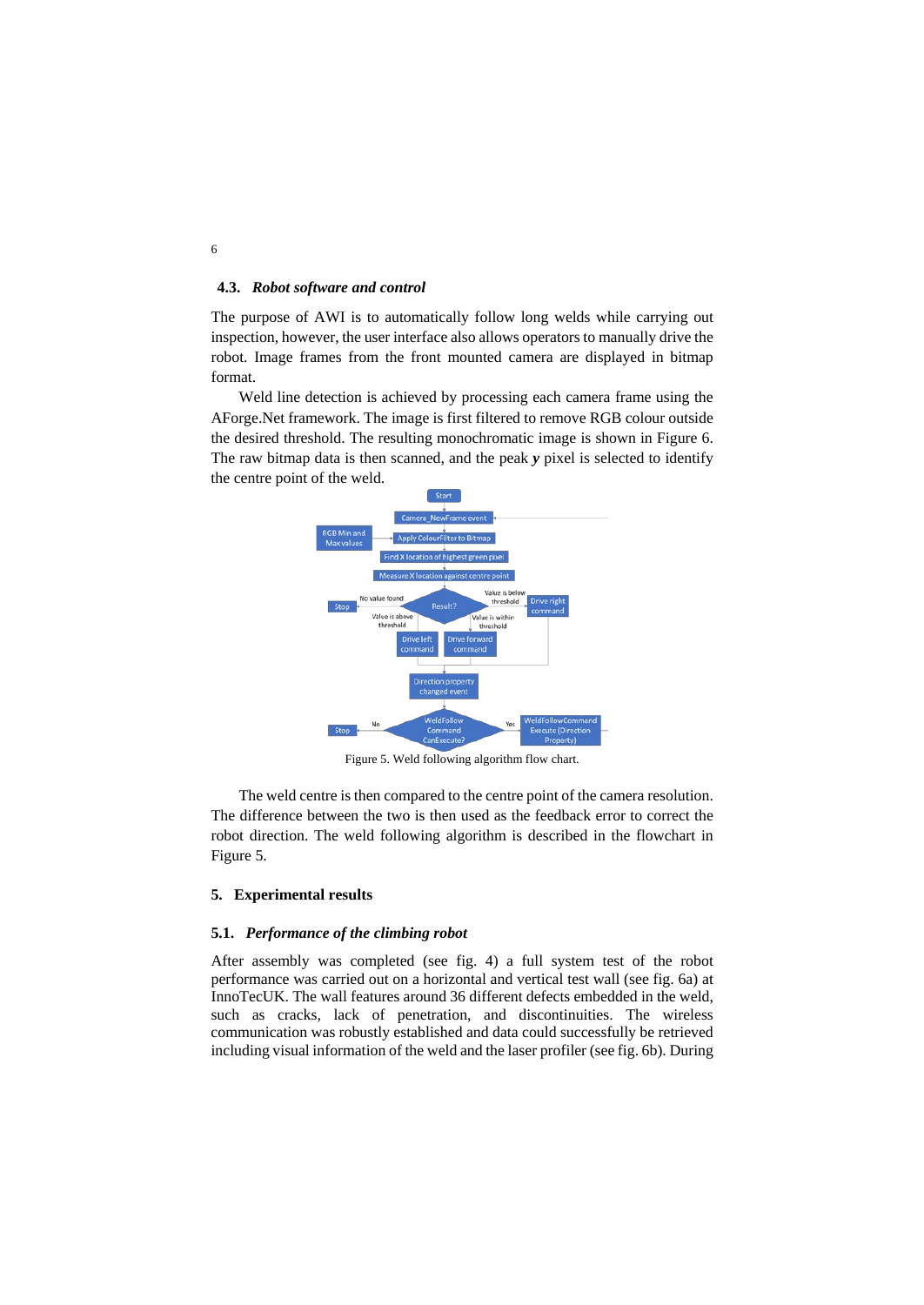# **4.3.** *Robot software and control*

The purpose of AWI is to automatically follow long welds while carrying out inspection, however, the user interface also allows operators to manually drive the robot. Image frames from the front mounted camera are displayed in bitmap format.

Weld line detection is achieved by processing each camera frame using the AForge.Net framework. The image is first filtered to remove RGB colour outside the desired threshold. The resulting monochromatic image is shown in Figure 6. The raw bitmap data is then scanned, and the peak *y* pixel is selected to identify the centre point of the weld.



Figure 5. Weld following algorithm flow chart.

The weld centre is then compared to the centre point of the camera resolution. The difference between the two is then used as the feedback error to correct the robot direction. The weld following algorithm is described in the flowchart in Figure 5.

#### **5. Experimental results**

### **5.1.** *Performance of the climbing robot*

After assembly was completed (see fig. 4) a full system test of the robot performance was carried out on a horizontal and vertical test wall (see fig. 6a) at InnoTecUK. The wall features around 36 different defects embedded in the weld, such as cracks, lack of penetration, and discontinuities. The wireless communication was robustly established and data could successfully be retrieved including visual information of the weld and the laser profiler (see fig. 6b). During

6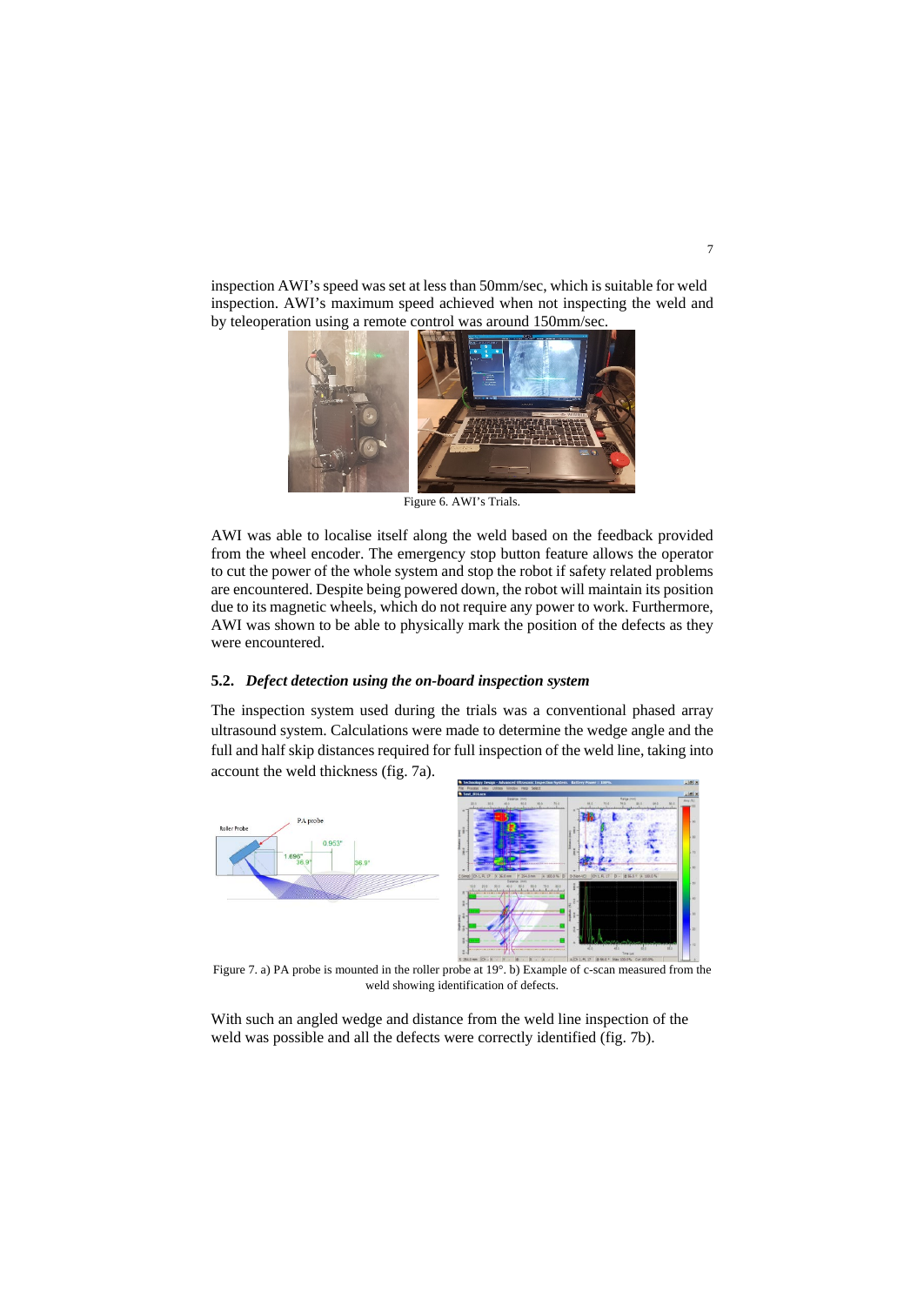inspection AWI's speed was set at less than 50mm/sec, which is suitable for weld inspection. AWI's maximum speed achieved when not inspecting the weld and by teleoperation using a remote control was around 150mm/sec.



AWI was able to localise itself along the weld based on the feedback provided from the wheel encoder. The emergency stop button feature allows the operator to cut the power of the whole system and stop the robot if safety related problems are encountered. Despite being powered down, the robot will maintain its position due to its magnetic wheels, which do not require any power to work. Furthermore, AWI was shown to be able to physically mark the position of the defects as they were encountered.

## **5.2.** *Defect detection using the on-board inspection system*

The inspection system used during the trials was a conventional phased array ultrasound system. Calculations were made to determine the wedge angle and the full and half skip distances required for full inspection of the weld line, taking into account the weld thickness (fig. 7a).



Figure 7. a) PA probe is mounted in the roller probe at 19°. b) Example of c-scan measured from the weld showing identification of defects.

With such an angled wedge and distance from the weld line inspection of the weld was possible and all the defects were correctly identified (fig. 7b).